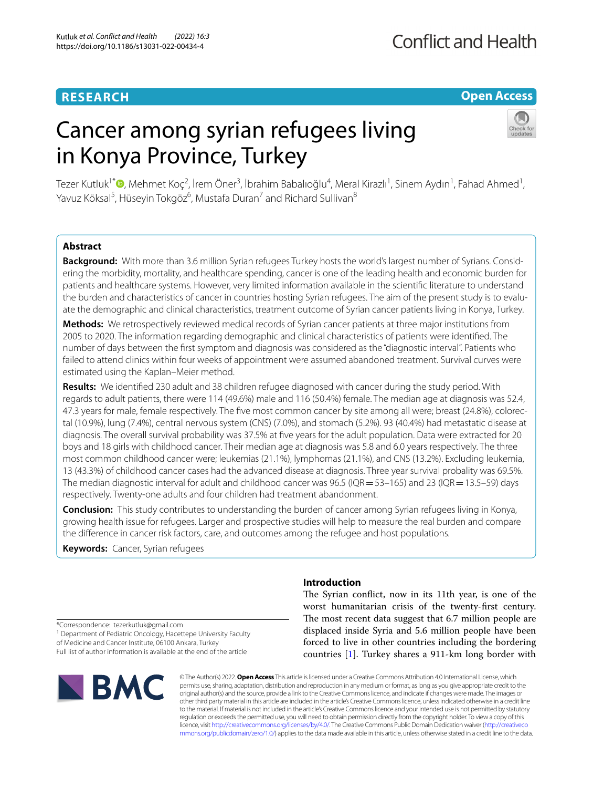# **RESEARCH**

# **Open Access**

# Cancer among syrian refugees living in Konya Province, Turkey



Tezer Kutluk<sup>1[\\*](http://orcid.org/0000-0002-1918-4407)</sup>©, Mehmet Koç<sup>2</sup>, İrem Öner<sup>3</sup>, İbrahim Babalıoğlu<sup>4</sup>, Meral Kirazlı<sup>1</sup>, Sinem Aydın<sup>1</sup>, Fahad Ahmed<sup>1</sup>, Yavuz Köksal<sup>5</sup>, Hüseyin Tokgöz<sup>6</sup>, Mustafa Duran<sup>7</sup> and Richard Sullivan<sup>8</sup>

## **Abstract**

**Background:** With more than 3.6 million Syrian refugees Turkey hosts the world's largest number of Syrians. Considering the morbidity, mortality, and healthcare spending, cancer is one of the leading health and economic burden for patients and healthcare systems. However, very limited information available in the scientifc literature to understand the burden and characteristics of cancer in countries hosting Syrian refugees. The aim of the present study is to evaluate the demographic and clinical characteristics, treatment outcome of Syrian cancer patients living in Konya, Turkey.

**Methods:** We retrospectively reviewed medical records of Syrian cancer patients at three major institutions from 2005 to 2020. The information regarding demographic and clinical characteristics of patients were identifed. The number of days between the frst symptom and diagnosis was considered as the "diagnostic interval". Patients who failed to attend clinics within four weeks of appointment were assumed abandoned treatment. Survival curves were estimated using the Kaplan–Meier method.

**Results:** We identifed 230 adult and 38 children refugee diagnosed with cancer during the study period. With regards to adult patients, there were 114 (49.6%) male and 116 (50.4%) female. The median age at diagnosis was 52.4, 47.3 years for male, female respectively. The fve most common cancer by site among all were; breast (24.8%), colorectal (10.9%), lung (7.4%), central nervous system (CNS) (7.0%), and stomach (5.2%). 93 (40.4%) had metastatic disease at diagnosis. The overall survival probability was 37.5% at fve years for the adult population. Data were extracted for 20 boys and 18 girls with childhood cancer. Their median age at diagnosis was 5.8 and 6.0 years respectively. The three most common childhood cancer were; leukemias (21.1%), lymphomas (21.1%), and CNS (13.2%). Excluding leukemia, 13 (43.3%) of childhood cancer cases had the advanced disease at diagnosis. Three year survival probality was 69.5%. The median diagnostic interval for adult and childhood cancer was  $96.5$  (IQR=53–165) and 23 (IQR=13.5–59) days respectively. Twenty-one adults and four children had treatment abandonment.

**Conclusion:** This study contributes to understanding the burden of cancer among Syrian refugees living in Konya, growing health issue for refugees. Larger and prospective studies will help to measure the real burden and compare the diference in cancer risk factors, care, and outcomes among the refugee and host populations.

**Keywords:** Cancer, Syrian refugees

## **Introduction**

The Syrian conflict, now in its 11th year, is one of the worst humanitarian crisis of the twenty-frst century. The most recent data suggest that 6.7 million people are displaced inside Syria and 5.6 million people have been forced to live in other countries including the bordering countries [[1\]](#page-8-0). Turkey shares a 911-km long border with

\*Correspondence: tezerkutluk@gmail.com <sup>1</sup> Department of Pediatric Oncology, Hacettepe University Faculty of Medicine and Cancer Institute, 06100 Ankara, Turkey

Full list of author information is available at the end of the article



© The Author(s) 2022. **Open Access** This article is licensed under a Creative Commons Attribution 4.0 International License, which permits use, sharing, adaptation, distribution and reproduction in any medium or format, as long as you give appropriate credit to the original author(s) and the source, provide a link to the Creative Commons licence, and indicate if changes were made. The images or other third party material in this article are included in the article's Creative Commons licence, unless indicated otherwise in a credit line to the material. If material is not included in the article's Creative Commons licence and your intended use is not permitted by statutory regulation or exceeds the permitted use, you will need to obtain permission directly from the copyright holder. To view a copy of this licence, visit [http://creativecommons.org/licenses/by/4.0/.](http://creativecommons.org/licenses/by/4.0/) The Creative Commons Public Domain Dedication waiver ([http://creativeco](http://creativecommons.org/publicdomain/zero/1.0/) [mmons.org/publicdomain/zero/1.0/](http://creativecommons.org/publicdomain/zero/1.0/)) applies to the data made available in this article, unless otherwise stated in a credit line to the data.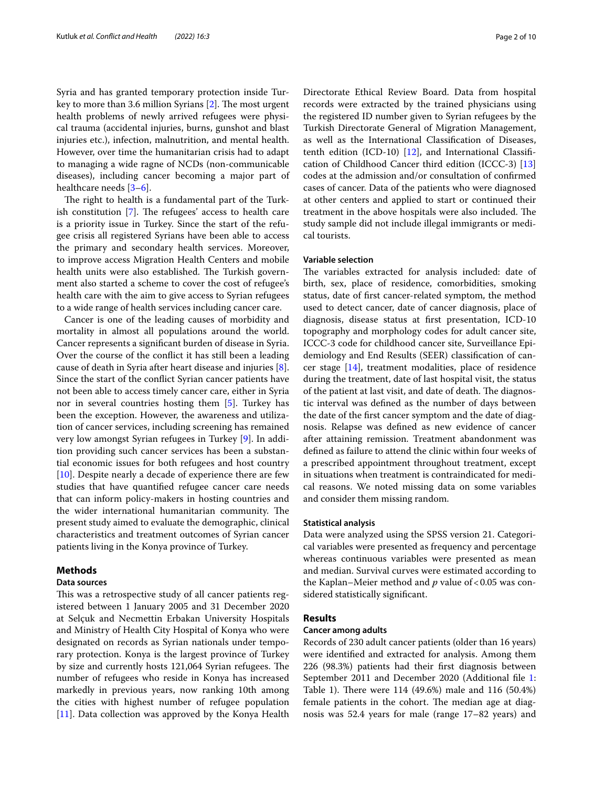Syria and has granted temporary protection inside Turkey to more than 3.6 million Syrians  $[2]$  $[2]$ . The most urgent health problems of newly arrived refugees were physical trauma (accidental injuries, burns, gunshot and blast injuries etc.), infection, malnutrition, and mental health. However, over time the humanitarian crisis had to adapt to managing a wide ragne of NCDs (non-communicable diseases), including cancer becoming a major part of healthcare needs [[3–](#page-8-2)[6\]](#page-8-3).

The right to health is a fundamental part of the Turkish constitution  $[7]$  $[7]$ . The refugees' access to health care is a priority issue in Turkey. Since the start of the refugee crisis all registered Syrians have been able to access the primary and secondary health services. Moreover, to improve access Migration Health Centers and mobile health units were also established. The Turkish government also started a scheme to cover the cost of refugee's health care with the aim to give access to Syrian refugees to a wide range of health services including cancer care.

Cancer is one of the leading causes of morbidity and mortality in almost all populations around the world. Cancer represents a signifcant burden of disease in Syria. Over the course of the confict it has still been a leading cause of death in Syria after heart disease and injuries [\[8](#page-8-5)]. Since the start of the confict Syrian cancer patients have not been able to access timely cancer care, either in Syria nor in several countries hosting them [[5](#page-8-6)]. Turkey has been the exception. However, the awareness and utilization of cancer services, including screening has remained very low amongst Syrian refugees in Turkey [\[9](#page-8-7)]. In addition providing such cancer services has been a substantial economic issues for both refugees and host country [[10\]](#page-8-8). Despite nearly a decade of experience there are few studies that have quantifed refugee cancer care needs that can inform policy-makers in hosting countries and the wider international humanitarian community. The present study aimed to evaluate the demographic, clinical characteristics and treatment outcomes of Syrian cancer patients living in the Konya province of Turkey.

## **Methods**

## **Data sources**

This was a retrospective study of all cancer patients registered between 1 January 2005 and 31 December 2020 at Selçuk and Necmettin Erbakan University Hospitals and Ministry of Health City Hospital of Konya who were designated on records as Syrian nationals under temporary protection. Konya is the largest province of Turkey by size and currently hosts 121,064 Syrian refugees. The number of refugees who reside in Konya has increased markedly in previous years, now ranking 10th among the cities with highest number of refugee population [[11\]](#page-9-0). Data collection was approved by the Konya Health Directorate Ethical Review Board. Data from hospital records were extracted by the trained physicians using the registered ID number given to Syrian refugees by the Turkish Directorate General of Migration Management, as well as the International Classifcation of Diseases, tenth edition (ICD-10) [[12](#page-9-1)], and International Classifcation of Childhood Cancer third edition (ICCC-3) [[13](#page-9-2)] codes at the admission and/or consultation of confrmed cases of cancer. Data of the patients who were diagnosed at other centers and applied to start or continued their treatment in the above hospitals were also included. The study sample did not include illegal immigrants or medical tourists.

## **Variable selection**

The variables extracted for analysis included: date of birth, sex, place of residence, comorbidities, smoking status, date of frst cancer-related symptom, the method used to detect cancer, date of cancer diagnosis, place of diagnosis, disease status at frst presentation, ICD-10 topography and morphology codes for adult cancer site, ICCC-3 code for childhood cancer site, Surveillance Epidemiology and End Results (SEER) classifcation of cancer stage [\[14](#page-9-3)], treatment modalities, place of residence during the treatment, date of last hospital visit, the status of the patient at last visit, and date of death. The diagnostic interval was defned as the number of days between the date of the frst cancer symptom and the date of diagnosis. Relapse was defned as new evidence of cancer after attaining remission. Treatment abandonment was defned as failure to attend the clinic within four weeks of a prescribed appointment throughout treatment, except in situations when treatment is contraindicated for medical reasons. We noted missing data on some variables and consider them missing random.

#### **Statistical analysis**

Data were analyzed using the SPSS version 21. Categorical variables were presented as frequency and percentage whereas continuous variables were presented as mean and median. Survival curves were estimated according to the Kaplan–Meier method and  $p$  value of <0.05 was considered statistically signifcant.

## **Results**

## **Cancer among adults**

Records of 230 adult cancer patients (older than 16 years) were identifed and extracted for analysis. Among them 226 (98.3%) patients had their frst diagnosis between September 2011 and December 2020 (Additional fle [1](#page-8-9): Table 1). There were 114 (49.6%) male and 116 (50.4%) female patients in the cohort. The median age at diagnosis was 52.4 years for male (range 17–82 years) and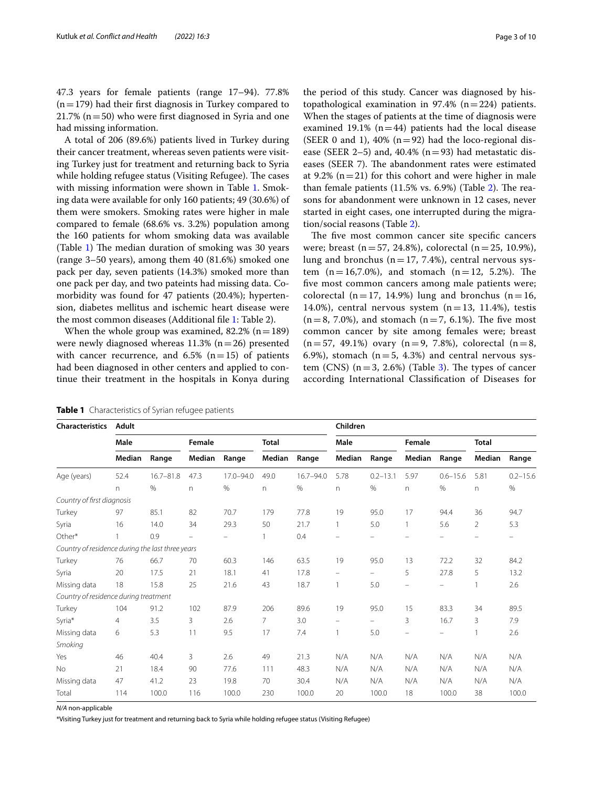47.3 years for female patients (range 17–94). 77.8%  $(n=179)$  had their first diagnosis in Turkey compared to 21.7% ( $n=50$ ) who were first diagnosed in Syria and one had missing information.

A total of 206 (89.6%) patients lived in Turkey during their cancer treatment, whereas seven patients were visiting Turkey just for treatment and returning back to Syria while holding refugee status (Visiting Refugee). The cases with missing information were shown in Table [1.](#page-2-0) Smoking data were available for only 160 patients; 49 (30.6%) of them were smokers. Smoking rates were higher in male compared to female (68.6% vs. 3.2%) population among the 160 patients for whom smoking data was available (Table [1](#page-2-0)) The median duration of smoking was 30 years (range 3–50 years), among them 40 (81.6%) smoked one pack per day, seven patients (14.3%) smoked more than one pack per day, and two pateints had missing data. Comorbidity was found for 47 patients (20.4%); hypertension, diabetes mellitus and ischemic heart disease were the most common diseases (Additional fle [1:](#page-8-9) Table 2).

When the whole group was examined,  $82.2\%$  (n=189) were newly diagnosed whereas  $11.3\%$  (n=26) presented with cancer recurrence, and  $6.5\%$  (n=15) of patients had been diagnosed in other centers and applied to continue their treatment in the hospitals in Konya during

the period of this study. Cancer was diagnosed by histopathological examination in 97.4% ( $n=224$ ) patients. When the stages of patients at the time of diagnosis were examined 19.1% ( $n=44$ ) patients had the local disease (SEER 0 and 1),  $40\%$  (n = 92) had the loco-regional disease (SEER 2-5) and, 40.4% ( $n=93$ ) had metastatic diseases (SEER 7). The abandonment rates were estimated at 9.2%  $(n=21)$  for this cohort and were higher in male than female patients  $(11.5\% \text{ vs. } 6.9\%)$  (Table [2](#page-3-0)). The reasons for abandonment were unknown in 12 cases, never started in eight cases, one interrupted during the migration/social reasons (Table [2\)](#page-3-0).

The five most common cancer site specific cancers were; breast (n = 57, 24.8%), colorectal (n = 25, 10.9%), lung and bronchus ( $n=17, 7.4%$ ), central nervous system  $(n=16,7.0\%)$ , and stomach  $(n=12, 5.2\%)$ . The fve most common cancers among male patients were; colorectal ( $n=17$ , 14.9%) lung and bronchus ( $n=16$ , 14.0%), central nervous system  $(n=13, 11.4)$ , testis  $(n=8, 7.0\%)$ , and stomach  $(n=7, 6.1\%)$ . The five most common cancer by site among females were; breast  $(n=57, 49.1\%)$  ovary  $(n=9, 7.8\%)$ , colorectal  $(n=8, 1\%)$ 6.9%), stomach  $(n=5, 4.3%)$  and central nervous system (CNS)  $(n=3, 2.6%)$  $(n=3, 2.6%)$  $(n=3, 2.6%)$  (Table 3). The types of cancer according International Classifcation of Diseases for

<span id="page-2-0"></span>

| Table 1 Characteristics of Syrian refugee patients |  |  |
|----------------------------------------------------|--|--|
|                                                    |  |  |

**Characteristics Adult Children Male Female Total Male Female Total Median Range Median Range Median Range Median Range Median Range Median Range** Age (years) 52.4 16.7–81.8 47.3 17.0–94.0 49.0 16.7–94.0 5.78 0.2–13.1 5.97 0.6–15.6 5.81 0.2–15.6 n % n % n % n % n % n % *Country of frst diagnosis* Turkey 97 85.1 82 70.7 179 77.8 19 95.0 17 94.4 36 94.7 Syria 16 14.0 34 29.3 50 21.7 1 5.0 1 5.6 2 5.3 Other\* 1 0.9 – – 1 0.4 – – – – – – *Country of residence during the last three years* Turkey 76 66.7 70 60.3 146 63.5 19 95.0 13 72.2 32 84.2 Syria 20 17.5 21 18.1 41 17.8 – – 5 27.8 5 13.2 Missing data 18 15.8 25 21.6 43 18.7 1 5.0 – – 1 2.6 *Country of residence during treatment* Turkey 104 91.2 102 87.9 206 89.6 19 95.0 15 83.3 34 89.5 Syria\* 4 3.5 3 2.6 7 3.0 – – 3 16.7 3 7.9 Missing data 6 5.3 11 9.5 17 7.4 1 5.0 – – 1 2.6 *Smoking* Yes 46 40.4 3 2.6 49 21.3 N/A N/A N/A N/A N/A N/A No 21 18.4 90 77.6 111 48.3 N/A N/A N/A N/A N/A N/A Missing data 47 41.2 23 19.8 70 30.4 N/A N/A N/A N/A N/A N/A Total 114 100.0 116 100.0 230 100.0 20 100.0 18 100.0 38 100.0

*N/A* non-applicable

\*Visiting Turkey just for treatment and returning back to Syria while holding refugee status (Visiting Refugee)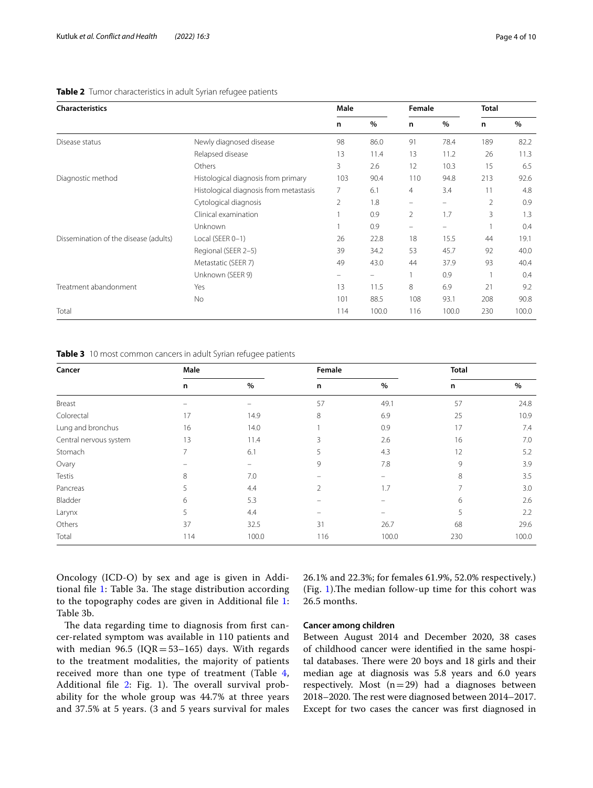## <span id="page-3-0"></span>**Table 2** Tumor characteristics in adult Syrian refugee patients

| <b>Characteristics</b>                |                                        | Male     |       | Female |                                | <b>Total</b> |       |
|---------------------------------------|----------------------------------------|----------|-------|--------|--------------------------------|--------------|-------|
|                                       |                                        | n        | %     | n      | %                              | n            | %     |
| Disease status                        | Newly diagnosed disease                | 98       | 86.0  | 91     | 78.4                           | 189          | 82.2  |
|                                       | Relapsed disease                       | 13       | 11.4  | 13     | 11.2                           | 26           | 11.3  |
|                                       | Others                                 | 3        | 2.6   | 12     | 10.3                           | 15           | 6.5   |
| Diagnostic method                     | Histological diagnosis from primary    | 103      | 90.4  | 110    | 94.8                           | 213          | 92.6  |
|                                       | Histological diagnosis from metastasis | 7        | 6.1   | 4      | 3.4                            | 11           | 4.8   |
|                                       | Cytological diagnosis                  | 2        | 1.8   | -      | $\qquad \qquad \longleftarrow$ | 2            | 0.9   |
|                                       | Clinical examination                   |          | 0.9   | 2      | 1.7                            | 3            | 1.3   |
|                                       | Unknown                                | 1        | 0.9   | -      | -                              |              | 0.4   |
| Dissemination of the disease (adults) | Local (SEER 0-1)                       | 26       | 22.8  | 18     | 15.5                           | 44           | 19.1  |
|                                       | Regional (SEER 2-5)                    | 39       | 34.2  | 53     | 45.7                           | 92           | 40.0  |
|                                       | Metastatic (SEER 7)                    | 49       | 43.0  | 44     | 37.9                           | 93           | 40.4  |
|                                       | Unknown (SEER 9)                       | $\equiv$ |       |        | 0.9                            |              | 0.4   |
| Treatment abandonment                 | Yes                                    | 13       | 11.5  | 8      | 6.9                            | 21           | 9.2   |
|                                       | No                                     | 101      | 88.5  | 108    | 93.1                           | 208          | 90.8  |
| Total                                 |                                        | 114      | 100.0 | 116    | 100.0                          | 230          | 100.0 |

<span id="page-3-1"></span>**Table 3** 10 most common cancers in adult Syrian refugee patients

| Cancer                 | Male           |       | Female         |       | <b>Total</b> |       |
|------------------------|----------------|-------|----------------|-------|--------------|-------|
|                        | n              | %     | n              | $\%$  | n            | %     |
| Breast                 |                |       | 57             | 49.1  | 57           | 24.8  |
| Colorectal             | 17             | 14.9  | 8              | 6.9   | 25           | 10.9  |
| Lung and bronchus      | 16             | 14.0  |                | 0.9   | 17           | 7.4   |
| Central nervous system | 13             | 11.4  | 3              | 2.6   | 16           | 7.0   |
| Stomach                | $\overline{7}$ | 6.1   | 5              | 4.3   | 12           | 5.2   |
| Ovary                  |                | -     | 9              | 7.8   | 9            | 3.9   |
| Testis                 | 8              | 7.0   |                |       | 8            | 3.5   |
| Pancreas               | 5              | 4.4   | $\overline{2}$ | 1.7   |              | 3.0   |
| Bladder                | 6              | 5.3   |                |       | 6            | 2.6   |
| Larynx                 | 5              | 4.4   |                |       |              | 2.2   |
| Others                 | 37             | 32.5  | 31             | 26.7  | 68           | 29.6  |
| Total                  | 114            | 100.0 | 116            | 100.0 | 230          | 100.0 |

Oncology (ICD-O) by sex and age is given in Addi-tional file [1](#page-8-9): Table 3a. The stage distribution according to the topography codes are given in Additional fle [1](#page-8-9): Table 3b.

The data regarding time to diagnosis from first cancer-related symptom was available in 110 patients and with median 96.5 ( $IQR = 53-165$ ) days. With regards to the treatment modalities, the majority of patients received more than one type of treatment (Table [4](#page-4-0), Additional file [2:](#page-8-10) Fig. 1). The overall survival probability for the whole group was 44.7% at three years and 37.5% at 5 years. (3 and 5 years survival for males 26.1% and 22.3%; for females 61.9%, 52.0% respectively.) (Fig. [1\)](#page-4-1). The median follow-up time for this cohort was 26.5 months.

## **Cancer among children**

Between August 2014 and December 2020, 38 cases of childhood cancer were identifed in the same hospital databases. There were 20 boys and 18 girls and their median age at diagnosis was 5.8 years and 6.0 years respectively. Most  $(n=29)$  had a diagnoses between 2018–2020. The rest were diagnosed between 2014–2017. Except for two cases the cancer was frst diagnosed in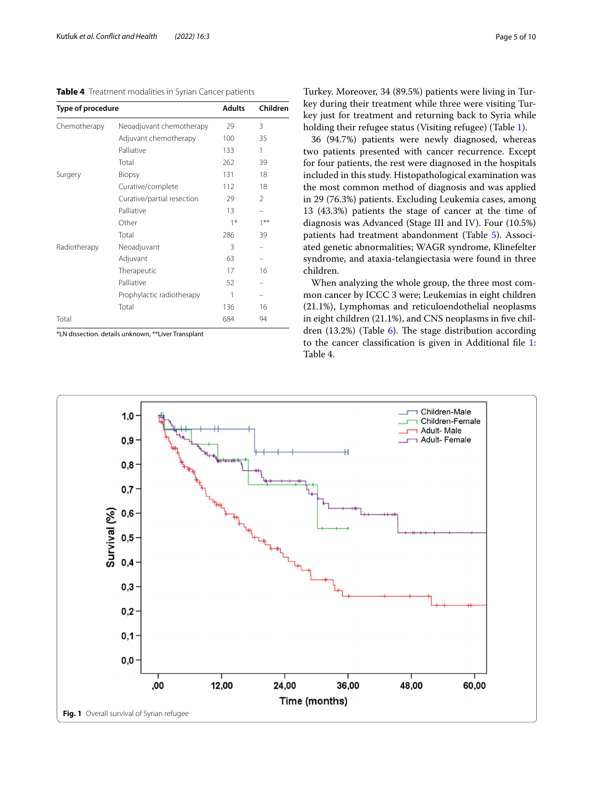<span id="page-4-0"></span>**Table 4** Treatment modalities in Syrian Cancer patients

| Type of procedure |                            | <b>Adults</b> | Children |
|-------------------|----------------------------|---------------|----------|
| Chemotherapy      | Neoadjuvant chemotherapy   | 29            | 3        |
|                   | Adjuvant chemotherapy      | 100           | 35       |
|                   | Palliative                 | 133           | 1        |
|                   | Total                      | 262           | 39       |
| Surgery           | Biopsy                     | 131           | 18       |
|                   | Curative/complete          | 112           | 18       |
|                   | Curative/partial resection | 29            | 2        |
|                   | Palliative                 | 13            |          |
|                   | Other                      | $1*$          | $1***$   |
|                   | Total                      | 286           | 39       |
| Radiotherapy      | Neoadjuvant                | 3             |          |
|                   | Adjuvant                   | 63            |          |
|                   | Therapeutic                | 17            | 16       |
|                   | Palliative                 | 52            |          |
|                   | Prophylactic radiotherapy  | 1             |          |
|                   | Total                      | 136           | 16       |
| Total             |                            | 684           | 94       |

\*LN dissection. details unknown, \*\*Liver Transplant

Turkey. Moreover, 34 (89.5%) patients were living in Turkey during their treatment while three were visiting Turkey just for treatment and returning back to Syria while holding their refugee status (Visiting refugee) (Table [1\)](#page-2-0).

36 (94.7%) patients were newly diagnosed, whereas two patients presented with cancer recurrence. Except for four patients, the rest were diagnosed in the hospitals included in this study. Histopathological examination was the most common method of diagnosis and was applied in 29 (76.3%) patients. Excluding Leukemia cases, among 13 (43.3%) patients the stage of cancer at the time of diagnosis was Advanced (Stage III and IV). Four (10.5%) patients had treatment abandonment (Table [5\)](#page-5-0). Associated genetic abnormalities; WAGR syndrome, Klinefelter syndrome, and ataxia-telangiectasia were found in three children.

When analyzing the whole group, the three most common cancer by ICCC 3 were; Leukemias in eight children (21.1%), Lymphomas and reticuloendothelial neoplasms in eight children (21.1%), and CNS neoplasms in five children  $(13.2%)$  (Table [6\)](#page-5-1). The stage distribution according to the cancer classifcation is given in Additional fle [1](#page-8-9): Table 4.

<span id="page-4-1"></span>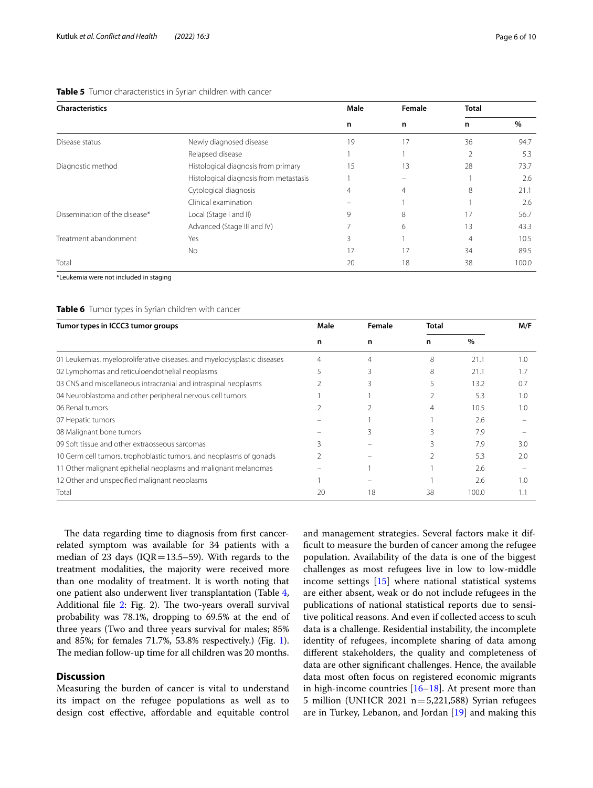#### <span id="page-5-0"></span>**Table 5** Tumor characteristics in Syrian children with cancer

| <b>Characteristics</b>        |                                        | Male | Female | <b>Total</b> |       |
|-------------------------------|----------------------------------------|------|--------|--------------|-------|
|                               |                                        | n    | n      | n            | $\%$  |
| Disease status                | Newly diagnosed disease                | 19   | 17     | 36           | 94.7  |
|                               | Relapsed disease                       |      |        |              | 5.3   |
| Diagnostic method             | Histological diagnosis from primary    | 15   | 13     | 28           | 73.7  |
|                               | Histological diagnosis from metastasis |      |        |              | 2.6   |
|                               | Cytological diagnosis                  | 4    | 4      | 8            | 21.1  |
|                               | Clinical examination                   |      |        |              | 2.6   |
| Dissemination of the disease* | Local (Stage I and II)                 | 9    | 8      | 17           | 56.7  |
|                               | Advanced (Stage III and IV)            |      | 6      | 13           | 43.3  |
| Treatment abandonment         | Yes                                    | 3    |        | 4            | 10.5  |
|                               | No.                                    | 17   | 17     | 34           | 89.5  |
| Total                         |                                        | 20   | 18     | 38           | 100.0 |

\*Leukemia were not included in staging

<span id="page-5-1"></span>

|  | Table 6 Tumor types in Syrian children with cancer |  |  |  |
|--|----------------------------------------------------|--|--|--|
|--|----------------------------------------------------|--|--|--|

| Tumor types in ICCC3 tumor groups                                       | Male | Female | Total |       | M/F |
|-------------------------------------------------------------------------|------|--------|-------|-------|-----|
|                                                                         | n    | n      | n     | $\%$  |     |
| 01 Leukemias. myeloproliferative diseases. and myelodysplastic diseases | 4    | 4      | 8     | 21.1  | 1.0 |
| 02 Lymphomas and reticuloendothelial neoplasms                          |      |        | 8     | 21.1  | 1.7 |
| 03 CNS and miscellaneous intracranial and intraspinal neoplasms         |      |        |       | 13.2  | 0.7 |
| 04 Neuroblastoma and other peripheral nervous cell tumors               |      |        |       | 5.3   | 1.0 |
| 06 Renal tumors                                                         |      |        | 4     | 10.5  | 1.0 |
| 07 Hepatic tumors                                                       |      |        |       | 2.6   |     |
| 08 Malignant bone tumors                                                |      |        |       | 7.9   |     |
| 09 Soft tissue and other extraosseous sarcomas                          |      |        |       | 7.9   | 3.0 |
| 10 Germ cell tumors, trophoblastic tumors, and neoplasms of gonads      |      |        |       | 5.3   | 2.0 |
| 11 Other malignant epithelial neoplasms and malignant melanomas         |      |        |       | 2.6   |     |
| 12 Other and unspecified malignant neoplasms                            |      |        |       | 2.6   | 1.0 |
| Total                                                                   | 20   | 18     | 38    | 100.0 | 1.1 |

The data regarding time to diagnosis from first cancerrelated symptom was available for 34 patients with a median of 23 days ( $IQR = 13.5-59$ ). With regards to the treatment modalities, the majority were received more than one modality of treatment. It is worth noting that one patient also underwent liver transplantation (Table [4](#page-4-0), Additional file  $2$ : Fig. 2). The two-years overall survival probability was 78.1%, dropping to 69.5% at the end of three years (Two and three years survival for males; 85% and 85%; for females 71.7%, 53.8% respectively.) (Fig. [1](#page-4-1)). The median follow-up time for all children was 20 months.

# **Discussion**

Measuring the burden of cancer is vital to understand its impact on the refugee populations as well as to design cost efective, afordable and equitable control and management strategies. Several factors make it diffcult to measure the burden of cancer among the refugee population. Availability of the data is one of the biggest challenges as most refugees live in low to low-middle income settings [[15\]](#page-9-4) where national statistical systems are either absent, weak or do not include refugees in the publications of national statistical reports due to sensitive political reasons. And even if collected access to scuh data is a challenge. Residential instability, the incomplete identity of refugees, incomplete sharing of data among diferent stakeholders, the quality and completeness of data are other signifcant challenges. Hence, the available data most often focus on registered economic migrants in high-income countries  $[16–18]$  $[16–18]$  $[16–18]$ . At present more than 5 million (UNHCR 2021  $n = 5,221,588$ ) Syrian refugees are in Turkey, Lebanon, and Jordan [\[19](#page-9-7)] and making this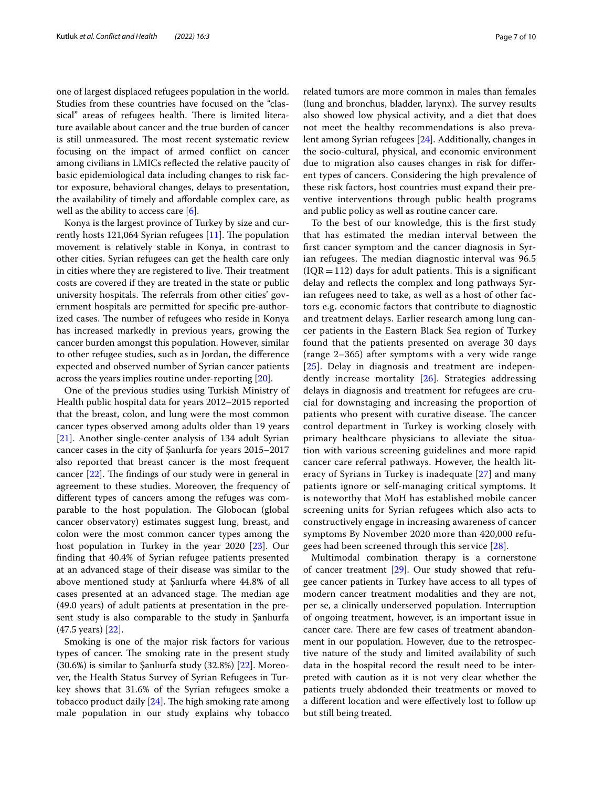one of largest displaced refugees population in the world. Studies from these countries have focused on the "classical" areas of refugees health. There is limited literature available about cancer and the true burden of cancer is still unmeasured. The most recent systematic review focusing on the impact of armed confict on cancer among civilians in LMICs refected the relative paucity of basic epidemiological data including changes to risk factor exposure, behavioral changes, delays to presentation, the availability of timely and afordable complex care, as well as the ability to access care  $[6]$  $[6]$ .

Konya is the largest province of Turkey by size and currently hosts 121,064 Syrian refugees  $[11]$ . The population movement is relatively stable in Konya, in contrast to other cities. Syrian refugees can get the health care only in cities where they are registered to live. Their treatment costs are covered if they are treated in the state or public university hospitals. The referrals from other cities' government hospitals are permitted for specifc pre-authorized cases. The number of refugees who reside in Konya has increased markedly in previous years, growing the cancer burden amongst this population. However, similar to other refugee studies, such as in Jordan, the diference expected and observed number of Syrian cancer patients across the years implies routine under-reporting [\[20\]](#page-9-8).

One of the previous studies using Turkish Ministry of Health public hospital data for years 2012–2015 reported that the breast, colon, and lung were the most common cancer types observed among adults older than 19 years [[21\]](#page-9-9). Another single-center analysis of 134 adult Syrian cancer cases in the city of Şanlıurfa for years 2015–2017 also reported that breast cancer is the most frequent cancer  $[22]$  $[22]$ . The findings of our study were in general in agreement to these studies. Moreover, the frequency of diferent types of cancers among the refuges was comparable to the host population. The Globocan (global cancer observatory) estimates suggest lung, breast, and colon were the most common cancer types among the host population in Turkey in the year 2020 [[23\]](#page-9-11). Our fnding that 40.4% of Syrian refugee patients presented at an advanced stage of their disease was similar to the above mentioned study at Şanlıurfa where 44.8% of all cases presented at an advanced stage. The median age (49.0 years) of adult patients at presentation in the present study is also comparable to the study in Şanlıurfa (47.5 years) [[22\]](#page-9-10).

Smoking is one of the major risk factors for various types of cancer. The smoking rate in the present study (30.6%) is similar to Şanlıurfa study (32.8%) [\[22](#page-9-10)]. Moreover, the Health Status Survey of Syrian Refugees in Turkey shows that 31.6% of the Syrian refugees smoke a tobacco product daily  $[24]$  $[24]$ . The high smoking rate among male population in our study explains why tobacco related tumors are more common in males than females (lung and bronchus, bladder, larynx). The survey results also showed low physical activity, and a diet that does not meet the healthy recommendations is also prevalent among Syrian refugees [\[24\]](#page-9-12). Additionally, changes in the socio-cultural, physical, and economic environment due to migration also causes changes in risk for diferent types of cancers. Considering the high prevalence of these risk factors, host countries must expand their preventive interventions through public health programs and public policy as well as routine cancer care.

To the best of our knowledge, this is the frst study that has estimated the median interval between the frst cancer symptom and the cancer diagnosis in Syrian refugees. The median diagnostic interval was 96.5  $(IQR = 112)$  days for adult patients. This is a significant delay and refects the complex and long pathways Syrian refugees need to take, as well as a host of other factors e.g. economic factors that contribute to diagnostic and treatment delays. Earlier research among lung cancer patients in the Eastern Black Sea region of Turkey found that the patients presented on average 30 days (range 2–365) after symptoms with a very wide range [[25](#page-9-13)]. Delay in diagnosis and treatment are independently increase mortality [\[26](#page-9-14)]. Strategies addressing delays in diagnosis and treatment for refugees are crucial for downstaging and increasing the proportion of patients who present with curative disease. The cancer control department in Turkey is working closely with primary healthcare physicians to alleviate the situation with various screening guidelines and more rapid cancer care referral pathways. However, the health literacy of Syrians in Turkey is inadequate [[27\]](#page-9-15) and many patients ignore or self-managing critical symptoms. It is noteworthy that MoH has established mobile cancer screening units for Syrian refugees which also acts to constructively engage in increasing awareness of cancer symptoms By November 2020 more than 420,000 refugees had been screened through this service [[28\]](#page-9-16).

Multimodal combination therapy is a cornerstone of cancer treatment [[29\]](#page-9-17). Our study showed that refugee cancer patients in Turkey have access to all types of modern cancer treatment modalities and they are not, per se, a clinically underserved population. Interruption of ongoing treatment, however, is an important issue in cancer care. There are few cases of treatment abandonment in our population. However, due to the retrospective nature of the study and limited availability of such data in the hospital record the result need to be interpreted with caution as it is not very clear whether the patients truely abdonded their treatments or moved to a diferent location and were efectively lost to follow up but still being treated.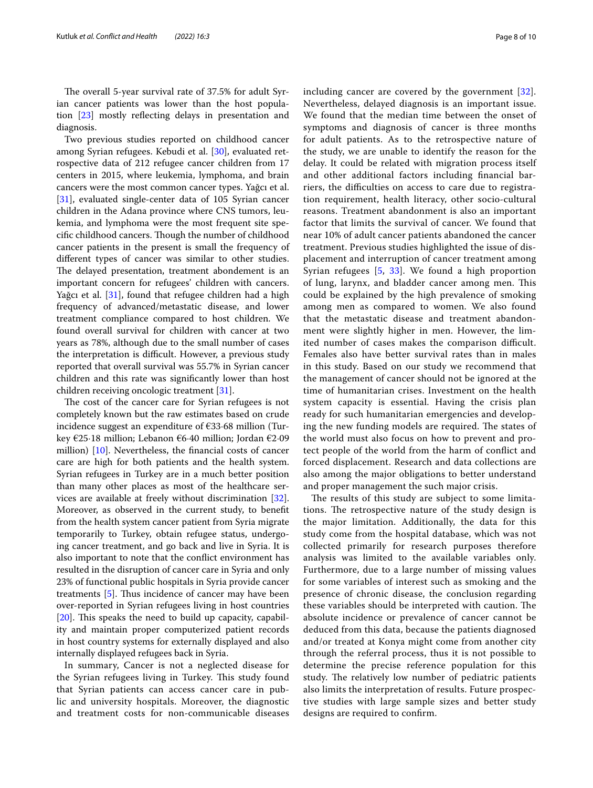The overall 5-year survival rate of 37.5% for adult Syrian cancer patients was lower than the host population [\[23](#page-9-11)] mostly refecting delays in presentation and diagnosis.

Two previous studies reported on childhood cancer among Syrian refugees. Kebudi et al. [\[30](#page-9-18)], evaluated retrospective data of 212 refugee cancer children from 17 centers in 2015, where leukemia, lymphoma, and brain cancers were the most common cancer types. Yağcı et al. [[31\]](#page-9-19), evaluated single-center data of 105 Syrian cancer children in the Adana province where CNS tumors, leukemia, and lymphoma were the most frequent site specifc childhood cancers. Tough the number of childhood cancer patients in the present is small the frequency of diferent types of cancer was similar to other studies. The delayed presentation, treatment abondement is an important concern for refugees' children with cancers. Yağcı et al. [[31\]](#page-9-19), found that refugee children had a high frequency of advanced/metastatic disease, and lower treatment compliance compared to host children. We found overall survival for children with cancer at two years as 78%, although due to the small number of cases the interpretation is difficult. However, a previous study reported that overall survival was 55.7% in Syrian cancer children and this rate was signifcantly lower than host children receiving oncologic treatment [\[31](#page-9-19)].

The cost of the cancer care for Syrian refugees is not completely known but the raw estimates based on crude incidence suggest an expenditure of €33·68 million (Turkey €25·18 million; Lebanon €6·40 million; Jordan €2·09 million) [[10\]](#page-8-8). Nevertheless, the fnancial costs of cancer care are high for both patients and the health system. Syrian refugees in Turkey are in a much better position than many other places as most of the healthcare services are available at freely without discrimination [\[32](#page-9-20)]. Moreover, as observed in the current study, to beneft from the health system cancer patient from Syria migrate temporarily to Turkey, obtain refugee status, undergoing cancer treatment, and go back and live in Syria. It is also important to note that the confict environment has resulted in the disruption of cancer care in Syria and only 23% of functional public hospitals in Syria provide cancer treatments  $[5]$  $[5]$ . Thus incidence of cancer may have been over-reported in Syrian refugees living in host countries [[20\]](#page-9-8). This speaks the need to build up capacity, capability and maintain proper computerized patient records in host country systems for externally displayed and also internally displayed refugees back in Syria.

In summary, Cancer is not a neglected disease for the Syrian refugees living in Turkey. This study found that Syrian patients can access cancer care in public and university hospitals. Moreover, the diagnostic and treatment costs for non-communicable diseases including cancer are covered by the government [[32\]](#page-9-20). Nevertheless, delayed diagnosis is an important issue. We found that the median time between the onset of symptoms and diagnosis of cancer is three months for adult patients. As to the retrospective nature of the study, we are unable to identify the reason for the delay. It could be related with migration process itself and other additional factors including fnancial barriers, the difficulties on access to care due to registration requirement, health literacy, other socio-cultural reasons. Treatment abandonment is also an important factor that limits the survival of cancer. We found that near 10% of adult cancer patients abandoned the cancer treatment. Previous studies highlighted the issue of displacement and interruption of cancer treatment among Syrian refugees [\[5](#page-8-6), [33](#page-9-21)]. We found a high proportion of lung, larynx, and bladder cancer among men. This could be explained by the high prevalence of smoking among men as compared to women. We also found that the metastatic disease and treatment abandonment were slightly higher in men. However, the limited number of cases makes the comparison difficult. Females also have better survival rates than in males in this study. Based on our study we recommend that the management of cancer should not be ignored at the time of humanitarian crises. Investment on the health system capacity is essential. Having the crisis plan ready for such humanitarian emergencies and developing the new funding models are required. The states of the world must also focus on how to prevent and protect people of the world from the harm of confict and forced displacement. Research and data collections are also among the major obligations to better understand and proper management the such major crisis.

The results of this study are subject to some limitations. The retrospective nature of the study design is the major limitation. Additionally, the data for this study come from the hospital database, which was not collected primarily for research purposes therefore analysis was limited to the available variables only. Furthermore, due to a large number of missing values for some variables of interest such as smoking and the presence of chronic disease, the conclusion regarding these variables should be interpreted with caution. The absolute incidence or prevalence of cancer cannot be deduced from this data, because the patients diagnosed and/or treated at Konya might come from another city through the referral process, thus it is not possible to determine the precise reference population for this study. The relatively low number of pediatric patients also limits the interpretation of results. Future prospective studies with large sample sizes and better study designs are required to confrm.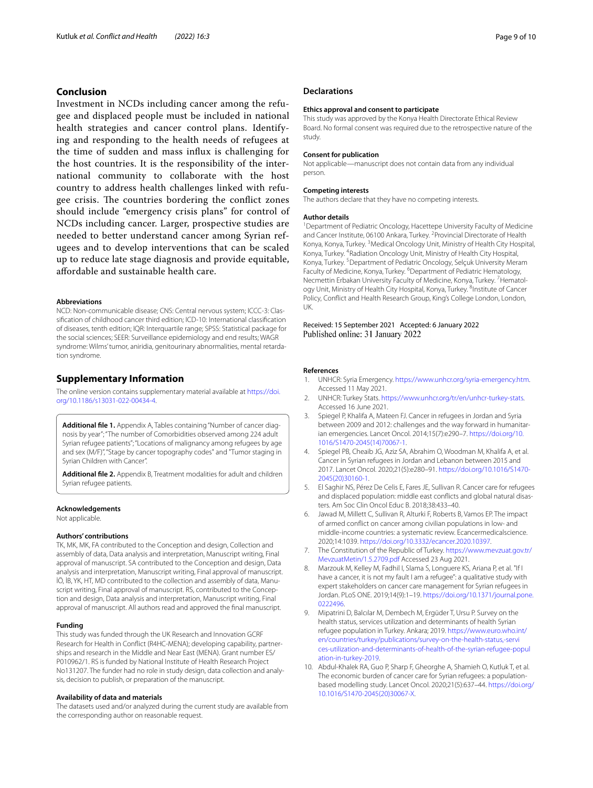## **Conclusion**

Investment in NCDs including cancer among the refugee and displaced people must be included in national health strategies and cancer control plans. Identifying and responding to the health needs of refugees at the time of sudden and mass infux is challenging for the host countries. It is the responsibility of the international community to collaborate with the host country to address health challenges linked with refugee crisis. The countries bordering the conflict zones should include "emergency crisis plans" for control of NCDs including cancer. Larger, prospective studies are needed to better understand cancer among Syrian refugees and to develop interventions that can be scaled up to reduce late stage diagnosis and provide equitable, afordable and sustainable health care.

#### **Abbreviations**

NCD: Non-communicable disease; CNS: Central nervous system; ICCC-3: Classifcation of childhood cancer third edition; ICD-10: International classifcation of diseases, tenth edition; IQR: Interquartile range; SPSS: Statistical package for the social sciences; SEER: Surveillance epidemiology and end results; WAGR syndrome: Wilms' tumor, aniridia, genitourinary abnormalities, mental retardation syndrome.

## **Supplementary Information**

The online version contains supplementary material available at [https://doi.](https://doi.org/10.1186/s13031-022-00434-4) [org/10.1186/s13031-022-00434-4](https://doi.org/10.1186/s13031-022-00434-4).

<span id="page-8-9"></span>**Additional fle 1.** Appendix A, Tables containing "Number of cancer diagnosis by year"; "The number of Comorbidities observed among 224 adult Syrian refugee patients"; "Locations of malignancy among refugees by age and sex (M/F)", "Stage by cancer topography codes" and "Tumor staging in Syrian Children with Cancer".

<span id="page-8-10"></span>**Additional fle 2.** Appendix B, Treatment modalities for adult and children Syrian refugee patients.

## **Acknowledgements**

Not applicable.

#### **Authors' contributions**

TK, MK, MK, FA contributed to the Conception and design, Collection and assembly of data, Data analysis and interpretation, Manuscript writing, Final approval of manuscript. SA contributed to the Conception and design, Data analysis and interpretation, Manuscript writing, Final approval of manuscript. İÖ, İB, YK, HT, MD contributed to the collection and assembly of data, Manuscript writing, Final approval of manuscript. RS, contributed to the Conception and design, Data analysis and interpretation, Manuscript writing, Final approval of manuscript. All authors read and approved the fnal manuscript.

#### **Funding**

This study was funded through the UK Research and Innovation GCRF Research for Health in Confict (R4HC-MENA); developing capability, partnerships and research in the Middle and Near East (MENA). Grant number ES/ P010962/1. RS is funded by National Institute of Health Research Project No131207. The funder had no role in study design, data collection and analysis, decision to publish, or preparation of the manuscript.

## **Availability of data and materials**

The datasets used and/or analyzed during the current study are available from the corresponding author on reasonable request.

#### **Declarations**

#### **Ethics approval and consent to participate**

This study was approved by the Konya Health Directorate Ethical Review Board. No formal consent was required due to the retrospective nature of the study.

#### **Consent for publication**

Not applicable—manuscript does not contain data from any individual person.

#### **Competing interests**

The authors declare that they have no competing interests.

#### **Author details**

<sup>1</sup> Department of Pediatric Oncology, Hacettepe University Faculty of Medicine and Cancer Institute, 06100 Ankara, Turkey. <sup>2</sup> Provincial Directorate of Health Konya, Konya, Turkey. <sup>3</sup> Medical Oncology Unit, Ministry of Health City Hospital, Konya, Turkey. 4 Radiation Oncology Unit, Ministry of Health City Hospital, Konya, Turkey. <sup>5</sup> Department of Pediatric Oncology, Selçuk University Meram Faculty of Medicine, Konya, Turkey. <sup>6</sup> Department of Pediatric Hematology, Necmettin Erbakan University Faculty of Medicine, Konya, Turkey. <sup>7</sup> Hematology Unit, Ministry of Health City Hospital, Konya, Turkey. <sup>8</sup>Institute of Cancer Policy, Confict and Health Research Group, King's College London, London, UK.

Received: 15 September 2021 Accepted: 6 January 2022 Published online: 31 January 2022

#### **References**

- <span id="page-8-0"></span>1. UNHCR: Syria Emergency. [https://www.unhcr.org/syria-emergency.htm.](https://www.unhcr.org/syria-emergency.htm) Accessed 11 May 2021.
- <span id="page-8-1"></span>2. UNHCR: Turkey Stats. [https://www.unhcr.org/tr/en/unhcr-turkey-stats.](https://www.unhcr.org/tr/en/unhcr-turkey-stats) Accessed 16 June 2021.
- <span id="page-8-2"></span>3. Spiegel P, Khalifa A, Mateen FJ. Cancer in refugees in Jordan and Syria between 2009 and 2012: challenges and the way forward in humanitarian emergencies. Lancet Oncol. 2014;15(7):e290–7. [https://doi.org/10.](https://doi.org/10.1016/S1470-2045(14)70067-1) [1016/S1470-2045\(14\)70067-1](https://doi.org/10.1016/S1470-2045(14)70067-1).
- 4. Spiegel PB, Cheaib JG, Aziz SA, Abrahim O, Woodman M, Khalifa A, et al. Cancer in Syrian refugees in Jordan and Lebanon between 2015 and 2017. Lancet Oncol. 2020;21(5):e280–91. [https://doi.org/10.1016/S1470-](https://doi.org/10.1016/S1470-2045(20)30160-1) [2045\(20\)30160-1.](https://doi.org/10.1016/S1470-2045(20)30160-1)
- <span id="page-8-6"></span>5. El Saghir NS, Pérez De Celis E, Fares JE, Sullivan R. Cancer care for refugees and displaced population: middle east conficts and global natural disasters. Am Soc Clin Oncol Educ B. 2018;38:433–40.
- <span id="page-8-3"></span>6. Jawad M, Millett C, Sullivan R, Alturki F, Roberts B, Vamos EP. The impact of armed confict on cancer among civilian populations in low- and middle-income countries: a systematic review. Ecancermedicalscience. 2020;14:1039. [https://doi.org/10.3332/ecancer.2020.10397.](https://doi.org/10.3332/ecancer.2020.10397)
- <span id="page-8-4"></span>7. The Constitution of the Republic of Turkey. [https://www.mevzuat.gov.tr/](https://www.mevzuat.gov.tr/MevzuatMetin/1.5.2709.pdf) [MevzuatMetin/1.5.2709.pdf](https://www.mevzuat.gov.tr/MevzuatMetin/1.5.2709.pdf) Accessed 23 Aug 2021.
- <span id="page-8-5"></span>8. Marzouk M, Kelley M, Fadhil I, Slama S, Longuere KS, Ariana P, et al. "If I have a cancer, it is not my fault I am a refugee": a qualitative study with expert stakeholders on cancer care management for Syrian refugees in Jordan. PLoS ONE. 2019;14(9):1–19. [https://doi.org/10.1371/journal.pone.](https://doi.org/10.1371/journal.pone.0222496) [0222496](https://doi.org/10.1371/journal.pone.0222496).
- <span id="page-8-7"></span>9. Mipatrini D, Balcılar M, Dembech M, Ergüder T, Ursu P. Survey on the health status, services utilization and determinants of health Syrian refugee population in Turkey. Ankara; 2019. [https://www.euro.who.int/](https://www.euro.who.int/en/countries/turkey/publications/survey-on-the-health-status,-services-utilization-and-determinants-of-health-of-the-syrian-refugee-population-in-turkey-2019) [en/countries/turkey/publications/survey-on-the-health-status,-servi](https://www.euro.who.int/en/countries/turkey/publications/survey-on-the-health-status,-services-utilization-and-determinants-of-health-of-the-syrian-refugee-population-in-turkey-2019) [ces-utilization-and-determinants-of-health-of-the-syrian-refugee-popul](https://www.euro.who.int/en/countries/turkey/publications/survey-on-the-health-status,-services-utilization-and-determinants-of-health-of-the-syrian-refugee-population-in-turkey-2019) [ation-in-turkey-2019.](https://www.euro.who.int/en/countries/turkey/publications/survey-on-the-health-status,-services-utilization-and-determinants-of-health-of-the-syrian-refugee-population-in-turkey-2019)
- <span id="page-8-8"></span>10. Abdul-Khalek RA, Guo P, Sharp F, Gheorghe A, Shamieh O, Kutluk T, et al. The economic burden of cancer care for Syrian refugees: a populationbased modelling study. Lancet Oncol. 2020;21(5):637–44. [https://doi.org/](https://doi.org/10.1016/S1470-2045(20)30067-X) [10.1016/S1470-2045\(20\)30067-X](https://doi.org/10.1016/S1470-2045(20)30067-X).